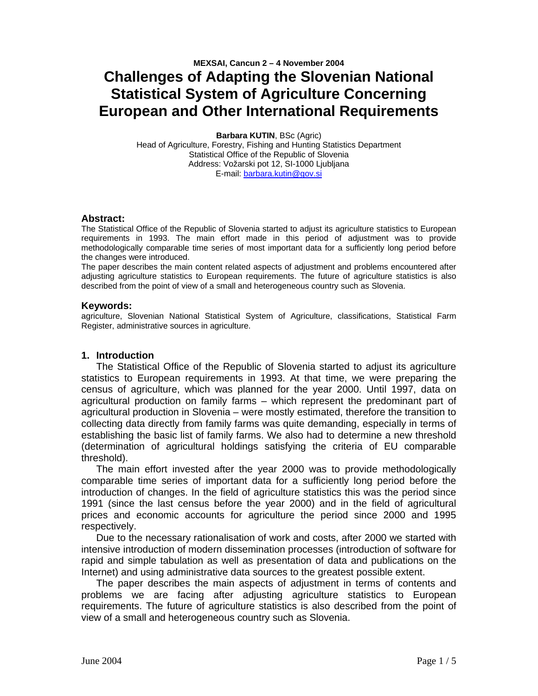# **MEXSAI, Cancun 2 – 4 November 2004 Challenges of Adapting the Slovenian National Statistical System of Agriculture Concerning European and Other International Requirements**

**Barbara KUTIN**, BSc (Agric) Head of Agriculture, Forestry, Fishing and Hunting Statistics Department Statistical Office of the Republic of Slovenia Address: Vožarski pot 12, SI-1000 Ljubljana E-mail: barbara.kutin@gov.si

#### **Abstract:**

The Statistical Office of the Republic of Slovenia started to adjust its agriculture statistics to European requirements in 1993. The main effort made in this period of adjustment was to provide methodologically comparable time series of most important data for a sufficiently long period before the changes were introduced.

The paper describes the main content related aspects of adjustment and problems encountered after adjusting agriculture statistics to European requirements. The future of agriculture statistics is also described from the point of view of a small and heterogeneous country such as Slovenia.

#### **Keywords:**

agriculture, Slovenian National Statistical System of Agriculture, classifications, Statistical Farm Register, administrative sources in agriculture.

### **1. Introduction**

The Statistical Office of the Republic of Slovenia started to adjust its agriculture statistics to European requirements in 1993. At that time, we were preparing the census of agriculture, which was planned for the year 2000. Until 1997, data on agricultural production on family farms – which represent the predominant part of agricultural production in Slovenia – were mostly estimated, therefore the transition to collecting data directly from family farms was quite demanding, especially in terms of establishing the basic list of family farms. We also had to determine a new threshold (determination of agricultural holdings satisfying the criteria of EU comparable threshold).

The main effort invested after the year 2000 was to provide methodologically comparable time series of important data for a sufficiently long period before the introduction of changes. In the field of agriculture statistics this was the period since 1991 (since the last census before the year 2000) and in the field of agricultural prices and economic accounts for agriculture the period since 2000 and 1995 respectively.

Due to the necessary rationalisation of work and costs, after 2000 we started with intensive introduction of modern dissemination processes (introduction of software for rapid and simple tabulation as well as presentation of data and publications on the Internet) and using administrative data sources to the greatest possible extent.

The paper describes the main aspects of adjustment in terms of contents and problems we are facing after adjusting agriculture statistics to European requirements. The future of agriculture statistics is also described from the point of view of a small and heterogeneous country such as Slovenia.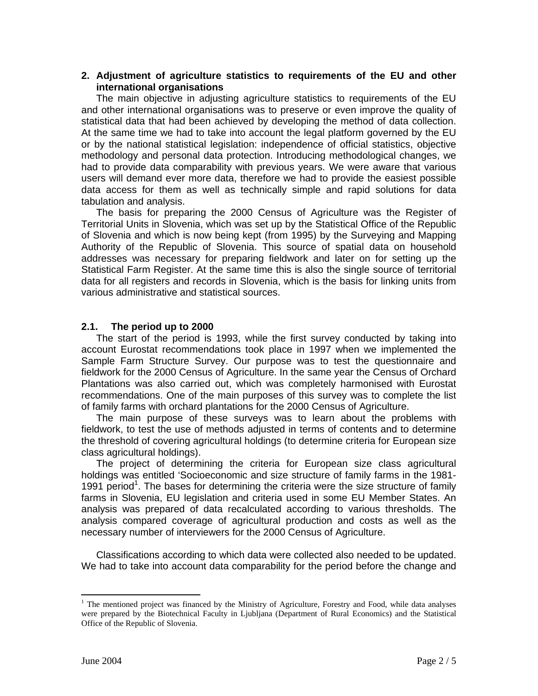## **2. Adjustment of agriculture statistics to requirements of the EU and other international organisations**

The main objective in adjusting agriculture statistics to requirements of the EU and other international organisations was to preserve or even improve the quality of statistical data that had been achieved by developing the method of data collection. At the same time we had to take into account the legal platform governed by the EU or by the national statistical legislation: independence of official statistics, objective methodology and personal data protection. Introducing methodological changes, we had to provide data comparability with previous years. We were aware that various users will demand ever more data, therefore we had to provide the easiest possible data access for them as well as technically simple and rapid solutions for data tabulation and analysis.

The basis for preparing the 2000 Census of Agriculture was the Register of Territorial Units in Slovenia, which was set up by the Statistical Office of the Republic of Slovenia and which is now being kept (from 1995) by the Surveying and Mapping Authority of the Republic of Slovenia. This source of spatial data on household addresses was necessary for preparing fieldwork and later on for setting up the Statistical Farm Register. At the same time this is also the single source of territorial data for all registers and records in Slovenia, which is the basis for linking units from various administrative and statistical sources.

## **2.1. The period up to 2000**

The start of the period is 1993, while the first survey conducted by taking into account Eurostat recommendations took place in 1997 when we implemented the Sample Farm Structure Survey. Our purpose was to test the questionnaire and fieldwork for the 2000 Census of Agriculture. In the same year the Census of Orchard Plantations was also carried out, which was completely harmonised with Eurostat recommendations. One of the main purposes of this survey was to complete the list of family farms with orchard plantations for the 2000 Census of Agriculture.

The main purpose of these surveys was to learn about the problems with fieldwork, to test the use of methods adjusted in terms of contents and to determine the threshold of covering agricultural holdings (to determine criteria for European size class agricultural holdings).

The project of determining the criteria for European size class agricultural holdings was entitled 'Socioeconomic and size structure of family farms in the 1981- 1991 period<sup>1</sup>. The bases for determining the criteria were the size structure of family farms in Slovenia, EU legislation and criteria used in some EU Member States. An analysis was prepared of data recalculated according to various thresholds. The analysis compared coverage of agricultural production and costs as well as the necessary number of interviewers for the 2000 Census of Agriculture.

Classifications according to which data were collected also needed to be updated. We had to take into account data comparability for the period before the change and

<sup>&</sup>lt;sup>1</sup> The mentioned project was financed by the Ministry of Agriculture, Forestry and Food, while data analyses were prepared by the Biotechnical Faculty in Ljubljana (Department of Rural Economics) and the Statistical Office of the Republic of Slovenia.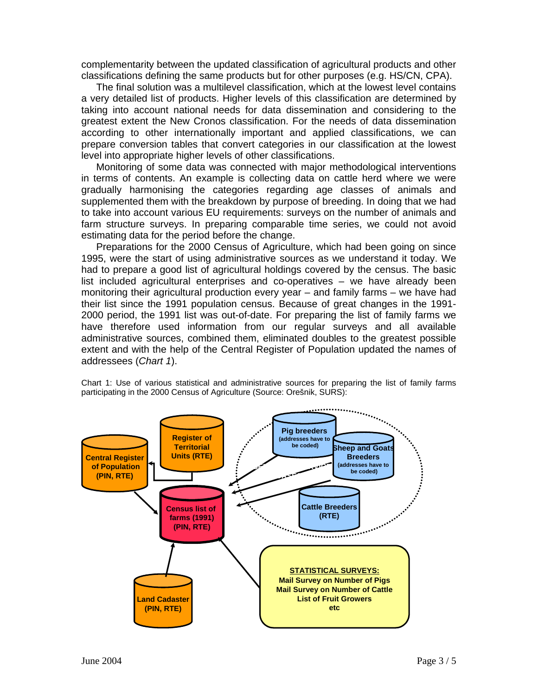complementarity between the updated classification of agricultural products and other classifications defining the same products but for other purposes (e.g. HS/CN, CPA).

The final solution was a multilevel classification, which at the lowest level contains a very detailed list of products. Higher levels of this classification are determined by taking into account national needs for data dissemination and considering to the greatest extent the New Cronos classification. For the needs of data dissemination according to other internationally important and applied classifications, we can prepare conversion tables that convert categories in our classification at the lowest level into appropriate higher levels of other classifications.

Monitoring of some data was connected with major methodological interventions in terms of contents. An example is collecting data on cattle herd where we were gradually harmonising the categories regarding age classes of animals and supplemented them with the breakdown by purpose of breeding. In doing that we had to take into account various EU requirements: surveys on the number of animals and farm structure surveys. In preparing comparable time series, we could not avoid estimating data for the period before the change.

Preparations for the 2000 Census of Agriculture, which had been going on since 1995, were the start of using administrative sources as we understand it today. We had to prepare a good list of agricultural holdings covered by the census. The basic list included agricultural enterprises and co-operatives – we have already been monitoring their agricultural production every year – and family farms – we have had their list since the 1991 population census. Because of great changes in the 1991- 2000 period, the 1991 list was out-of-date. For preparing the list of family farms we have therefore used information from our regular surveys and all available administrative sources, combined them, eliminated doubles to the greatest possible extent and with the help of the Central Register of Population updated the names of addressees (*Chart 1*).

Chart 1: Use of various statistical and administrative sources for preparing the list of family farms participating in the 2000 Census of Agriculture (Source: Orešnik, SURS):

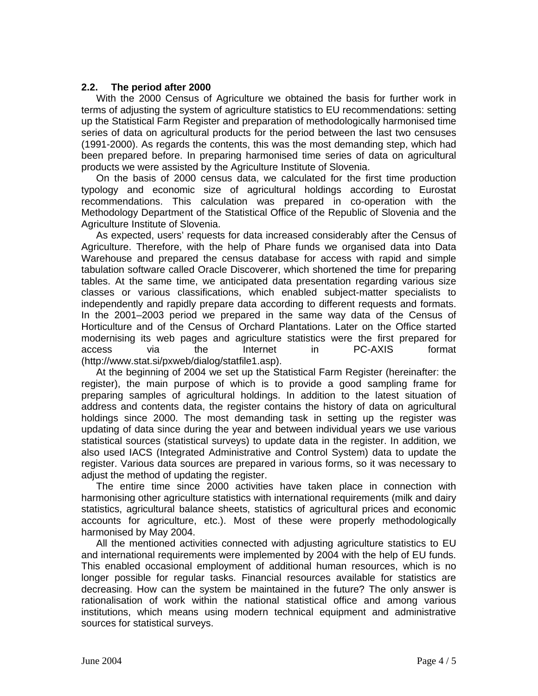# **2.2. The period after 2000**

With the 2000 Census of Agriculture we obtained the basis for further work in terms of adjusting the system of agriculture statistics to EU recommendations: setting up the Statistical Farm Register and preparation of methodologically harmonised time series of data on agricultural products for the period between the last two censuses (1991-2000). As regards the contents, this was the most demanding step, which had been prepared before. In preparing harmonised time series of data on agricultural products we were assisted by the Agriculture Institute of Slovenia.

On the basis of 2000 census data, we calculated for the first time production typology and economic size of agricultural holdings according to Eurostat recommendations. This calculation was prepared in co-operation with the Methodology Department of the Statistical Office of the Republic of Slovenia and the Agriculture Institute of Slovenia.

As expected, users' requests for data increased considerably after the Census of Agriculture. Therefore, with the help of Phare funds we organised data into Data Warehouse and prepared the census database for access with rapid and simple tabulation software called Oracle Discoverer, which shortened the time for preparing tables. At the same time, we anticipated data presentation regarding various size classes or various classifications, which enabled subject-matter specialists to independently and rapidly prepare data according to different requests and formats. In the 2001–2003 period we prepared in the same way data of the Census of Horticulture and of the Census of Orchard Plantations. Later on the Office started modernising its web pages and agriculture statistics were the first prepared for access via the Internet in PC-AXIS format (http://www.stat.si/pxweb/dialog/statfile1.asp).

At the beginning of 2004 we set up the Statistical Farm Register (hereinafter: the register), the main purpose of which is to provide a good sampling frame for preparing samples of agricultural holdings. In addition to the latest situation of address and contents data, the register contains the history of data on agricultural holdings since 2000. The most demanding task in setting up the register was updating of data since during the year and between individual years we use various statistical sources (statistical surveys) to update data in the register. In addition, we also used IACS (Integrated Administrative and Control System) data to update the register. Various data sources are prepared in various forms, so it was necessary to adjust the method of updating the register.

The entire time since 2000 activities have taken place in connection with harmonising other agriculture statistics with international requirements (milk and dairy statistics, agricultural balance sheets, statistics of agricultural prices and economic accounts for agriculture, etc.). Most of these were properly methodologically harmonised by May 2004.

All the mentioned activities connected with adjusting agriculture statistics to EU and international requirements were implemented by 2004 with the help of EU funds. This enabled occasional employment of additional human resources, which is no longer possible for regular tasks. Financial resources available for statistics are decreasing. How can the system be maintained in the future? The only answer is rationalisation of work within the national statistical office and among various institutions, which means using modern technical equipment and administrative sources for statistical surveys.